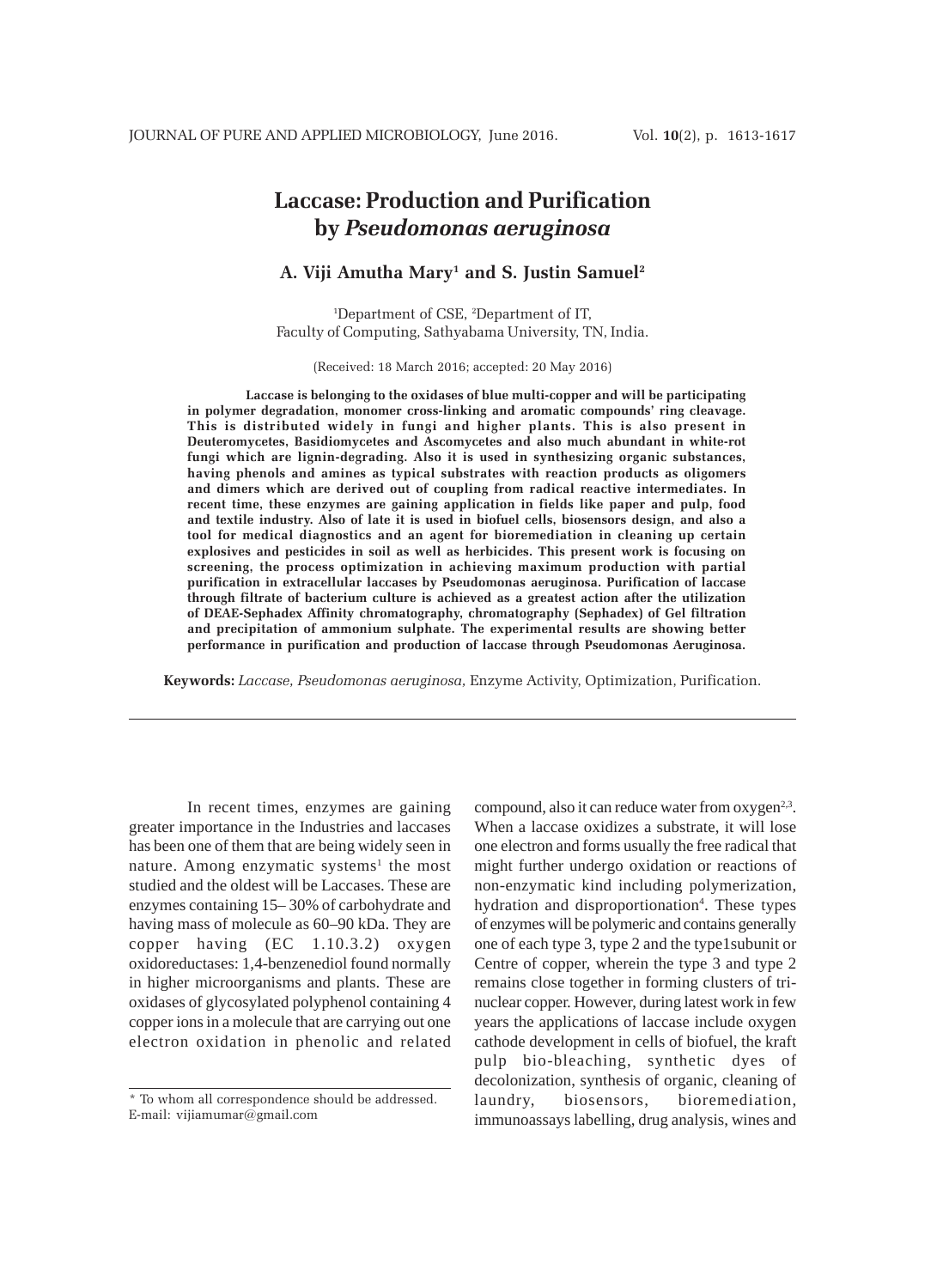# **Laccase: Production and Purification by** *Pseudomonas aeruginosa*

## **A. Viji Amutha Mary1 and S. Justin Samuel2**

1 Department of CSE, 2 Department of IT, Faculty of Computing, Sathyabama University, TN, India.

(Received: 18 March 2016; accepted: 20 May 2016)

**Laccase is belonging to the oxidases of blue multi-copper and will be participating in polymer degradation, monomer cross-linking and aromatic compounds' ring cleavage. This is distributed widely in fungi and higher plants. This is also present in Deuteromycetes, Basidiomycetes and Ascomycetes and also much abundant in white-rot fungi which are lignin-degrading. Also it is used in synthesizing organic substances, having phenols and amines as typical substrates with reaction products as oligomers and dimers which are derived out of coupling from radical reactive intermediates. In recent time, these enzymes are gaining application in fields like paper and pulp, food and textile industry. Also of late it is used in biofuel cells, biosensors design, and also a tool for medical diagnostics and an agent for bioremediation in cleaning up certain explosives and pesticides in soil as well as herbicides. This present work is focusing on screening, the process optimization in achieving maximum production with partial purification in extracellular laccases by Pseudomonas aeruginosa. Purification of laccase through filtrate of bacterium culture is achieved as a greatest action after the utilization of DEAE-Sephadex Affinity chromatography, chromatography (Sephadex) of Gel filtration and precipitation of ammonium sulphate. The experimental results are showing better performance in purification and production of laccase through Pseudomonas Aeruginosa.**

**Keywords:** *Laccase, Pseudomonas aeruginosa,* Enzyme Activity, Optimization, Purification.

In recent times, enzymes are gaining greater importance in the Industries and laccases has been one of them that are being widely seen in nature. Among enzymatic systems<sup>1</sup> the most studied and the oldest will be Laccases. These are enzymes containing 15– 30% of carbohydrate and having mass of molecule as 60–90 kDa. They are copper having (EC 1.10.3.2) oxygen oxidoreductases: 1,4-benzenediol found normally in higher microorganisms and plants. These are oxidases of glycosylated polyphenol containing 4 copper ions in a molecule that are carrying out one electron oxidation in phenolic and related

compound, also it can reduce water from  $oxygen<sup>2,3</sup>$ . When a laccase oxidizes a substrate, it will lose one electron and forms usually the free radical that might further undergo oxidation or reactions of non-enzymatic kind including polymerization, hydration and disproportionation<sup>4</sup>. These types of enzymes will be polymeric and contains generally one of each type 3, type 2 and the type1subunit or Centre of copper, wherein the type 3 and type 2 remains close together in forming clusters of trinuclear copper. However, during latest work in few years the applications of laccase include oxygen cathode development in cells of biofuel, the kraft pulp bio-bleaching, synthetic dyes of decolonization, synthesis of organic, cleaning of laundry, biosensors, bioremediation, immunoassays labelling, drug analysis, wines and

<sup>\*</sup> To whom all correspondence should be addressed. E-mail: vijiamumar@gmail.com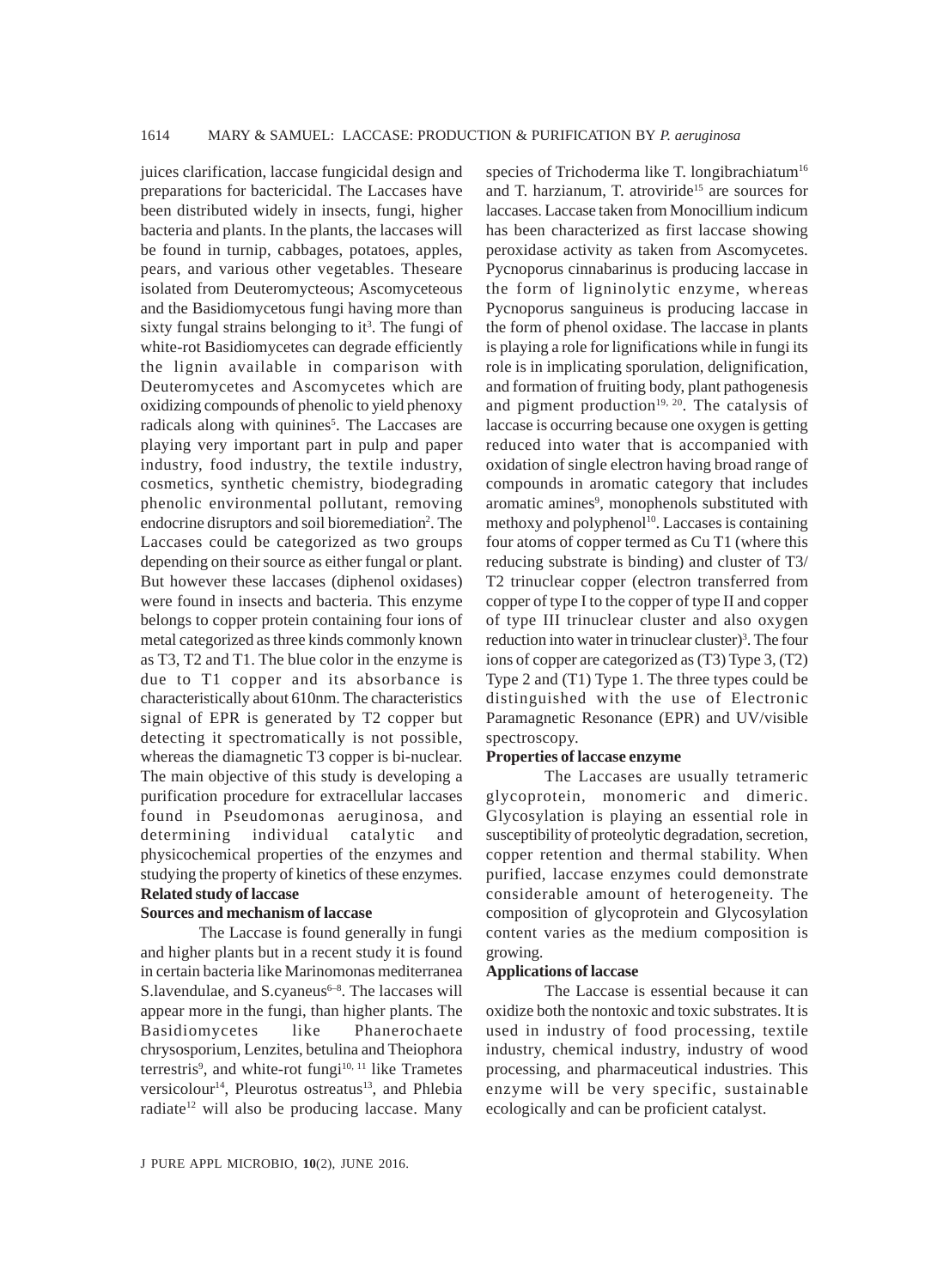juices clarification, laccase fungicidal design and preparations for bactericidal. The Laccases have been distributed widely in insects, fungi, higher bacteria and plants. In the plants, the laccases will be found in turnip, cabbages, potatoes, apples, pears, and various other vegetables. Theseare isolated from Deuteromycteous; Ascomyceteous and the Basidiomycetous fungi having more than sixty fungal strains belonging to it<sup>3</sup>. The fungi of white-rot Basidiomycetes can degrade efficiently the lignin available in comparison with Deuteromycetes and Ascomycetes which are oxidizing compounds of phenolic to yield phenoxy radicals along with quinines<sup>5</sup>. The Laccases are playing very important part in pulp and paper industry, food industry, the textile industry, cosmetics, synthetic chemistry, biodegrading phenolic environmental pollutant, removing endocrine disruptors and soil bioremediation<sup>2</sup>. The Laccases could be categorized as two groups depending on their source as either fungal or plant. But however these laccases (diphenol oxidases) were found in insects and bacteria. This enzyme belongs to copper protein containing four ions of metal categorized as three kinds commonly known as T3, T2 and T1. The blue color in the enzyme is due to T1 copper and its absorbance is characteristically about 610nm. The characteristics signal of EPR is generated by T2 copper but detecting it spectromatically is not possible, whereas the diamagnetic T3 copper is bi-nuclear. The main objective of this study is developing a purification procedure for extracellular laccases found in Pseudomonas aeruginosa, and determining individual catalytic and physicochemical properties of the enzymes and studying the property of kinetics of these enzymes. **Related study of laccase**

#### **Sources and mechanism of laccase**

The Laccase is found generally in fungi and higher plants but in a recent study it is found in certain bacteria like Marinomonas mediterranea S.lavendulae, and S.cyaneus $6-8$ . The laccases will appear more in the fungi, than higher plants. The Basidiomycetes like Phanerochaete chrysosporium, Lenzites, betulina and Theiophora terrestris<sup>9</sup>, and white-rot fungi<sup>10, 11</sup> like Trametes versicolour<sup>14</sup>, Pleurotus ostreatus<sup>13</sup>, and Phlebia radiate<sup>12</sup> will also be producing laccase. Many species of Trichoderma like T. longibrachiatum<sup>16</sup> and T. harzianum, T. atroviride<sup>15</sup> are sources for laccases. Laccase taken from Monocillium indicum has been characterized as first laccase showing peroxidase activity as taken from Ascomycetes. Pycnoporus cinnabarinus is producing laccase in the form of ligninolytic enzyme, whereas Pycnoporus sanguineus is producing laccase in the form of phenol oxidase. The laccase in plants is playing a role for lignifications while in fungi its role is in implicating sporulation, delignification, and formation of fruiting body, plant pathogenesis and pigment production<sup>19, 20</sup>. The catalysis of laccase is occurring because one oxygen is getting reduced into water that is accompanied with oxidation of single electron having broad range of compounds in aromatic category that includes aromatic amines<sup>9</sup>, monophenols substituted with methoxy and polyphenol<sup>10</sup>. Laccases is containing four atoms of copper termed as Cu T1 (where this reducing substrate is binding) and cluster of T3/ T2 trinuclear copper (electron transferred from copper of type I to the copper of type II and copper of type III trinuclear cluster and also oxygen reduction into water in trinuclear cluster)<sup>3</sup>. The four ions of copper are categorized as (T3) Type 3, (T2) Type 2 and (T1) Type 1. The three types could be distinguished with the use of Electronic Paramagnetic Resonance (EPR) and UV/visible spectroscopy.

#### **Properties of laccase enzyme**

The Laccases are usually tetrameric glycoprotein, monomeric and dimeric. Glycosylation is playing an essential role in susceptibility of proteolytic degradation, secretion, copper retention and thermal stability. When purified, laccase enzymes could demonstrate considerable amount of heterogeneity. The composition of glycoprotein and Glycosylation content varies as the medium composition is growing.

#### **Applications of laccase**

The Laccase is essential because it can oxidize both the nontoxic and toxic substrates. It is used in industry of food processing, textile industry, chemical industry, industry of wood processing, and pharmaceutical industries. This enzyme will be very specific, sustainable ecologically and can be proficient catalyst.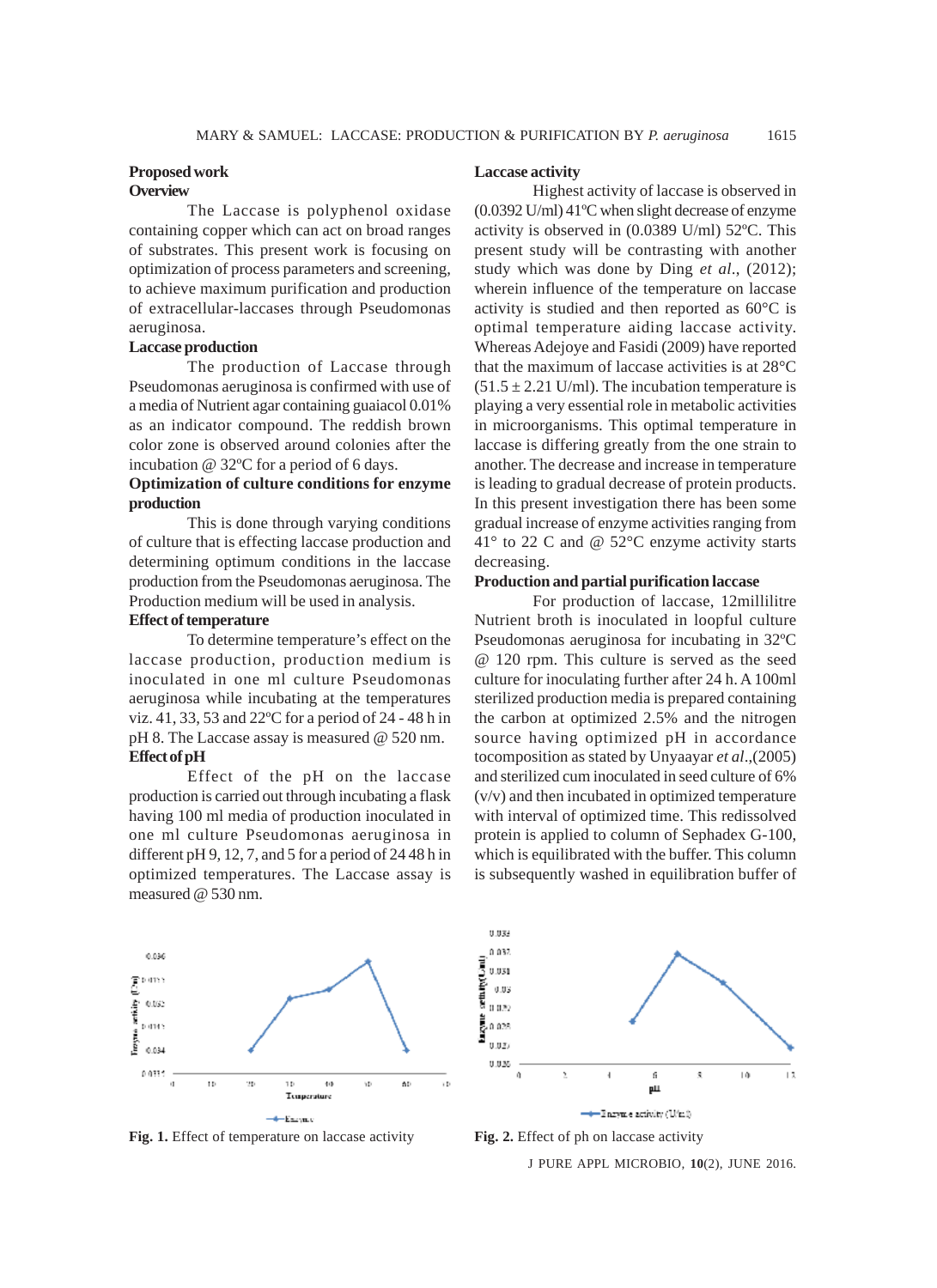#### **Proposed work Overview**

The Laccase is polyphenol oxidase containing copper which can act on broad ranges of substrates. This present work is focusing on optimization of process parameters and screening, to achieve maximum purification and production of extracellular-laccases through Pseudomonas aeruginosa.

## **Laccase production**

The production of Laccase through Pseudomonas aeruginosa is confirmed with use of a media of Nutrient agar containing guaiacol 0.01% as an indicator compound. The reddish brown color zone is observed around colonies after the incubation @ 32ºC for a period of 6 days.

# **Optimization of culture conditions for enzyme production**

This is done through varying conditions of culture that is effecting laccase production and determining optimum conditions in the laccase production from the Pseudomonas aeruginosa. The Production medium will be used in analysis.

## **Effect of temperature**

To determine temperature's effect on the laccase production, production medium is inoculated in one ml culture Pseudomonas aeruginosa while incubating at the temperatures viz. 41, 33, 53 and 22ºC for a period of 24 - 48 h in pH 8. The Laccase assay is measured @ 520 nm. **Effect of pH**

Effect of the pH on the laccase production is carried out through incubating a flask having 100 ml media of production inoculated in one ml culture Pseudomonas aeruginosa in different pH 9, 12, 7, and 5 for a period of 24 48 h in optimized temperatures. The Laccase assay is measured @ 530 nm.

#### **Laccase activity**

Highest activity of laccase is observed in (0.0392 U/ml) 41ºC when slight decrease of enzyme activity is observed in (0.0389 U/ml) 52ºC. This present study will be contrasting with another study which was done by Ding *et al*., (2012); wherein influence of the temperature on laccase activity is studied and then reported as 60°C is optimal temperature aiding laccase activity. Whereas Adejoye and Fasidi (2009) have reported that the maximum of laccase activities is at 28°C  $(51.5 \pm 2.21 \text{ U/ml})$ . The incubation temperature is playing a very essential role in metabolic activities in microorganisms. This optimal temperature in laccase is differing greatly from the one strain to another. The decrease and increase in temperature is leading to gradual decrease of protein products. In this present investigation there has been some gradual increase of enzyme activities ranging from 41° to 22 C and @ 52°C enzyme activity starts decreasing.

## **Production and partial purification laccase**

For production of laccase, 12millilitre Nutrient broth is inoculated in loopful culture Pseudomonas aeruginosa for incubating in 32ºC @ 120 rpm. This culture is served as the seed culture for inoculating further after 24 h. A 100ml sterilized production media is prepared containing the carbon at optimized 2.5% and the nitrogen source having optimized pH in accordance tocomposition as stated by Unyaayar *et al*.,(2005) and sterilized cum inoculated in seed culture of 6% (v/v) and then incubated in optimized temperature with interval of optimized time. This redissolved protein is applied to column of Sephadex G-100, which is equilibrated with the buffer. This column is subsequently washed in equilibration buffer of







J PURE APPL MICROBIO*,* **10**(2), JUNE 2016.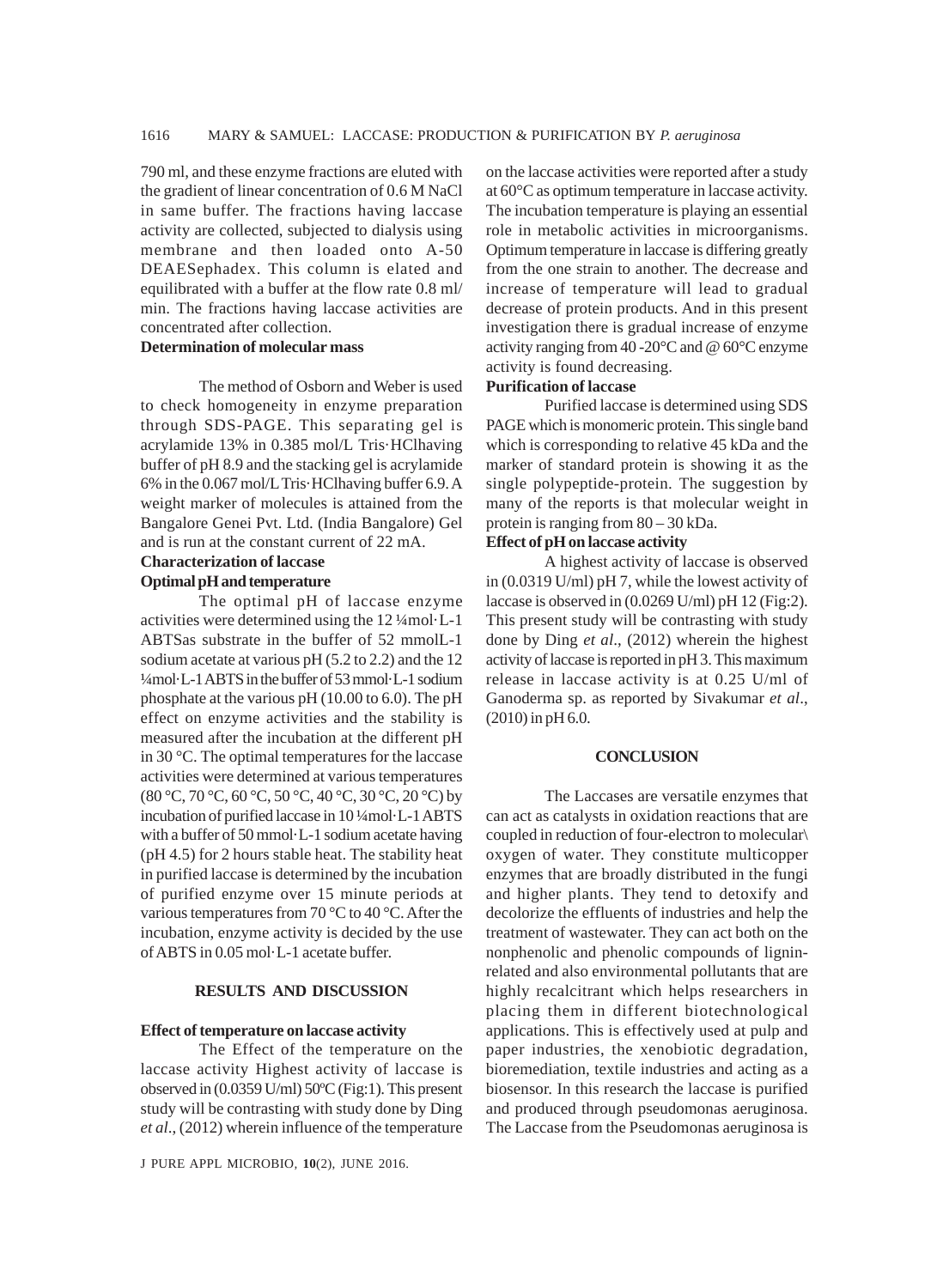790 ml, and these enzyme fractions are eluted with the gradient of linear concentration of 0.6 M NaCl in same buffer. The fractions having laccase activity are collected, subjected to dialysis using membrane and then loaded onto A-50 DEAESephadex. This column is elated and equilibrated with a buffer at the flow rate 0.8 ml/ min. The fractions having laccase activities are concentrated after collection.

## **Determination of molecular mass**

The method of Osborn and Weber is used to check homogeneity in enzyme preparation through SDS-PAGE. This separating gel is acrylamide 13% in 0.385 mol/L Tris·HClhaving buffer of pH 8.9 and the stacking gel is acrylamide 6% in the 0.067 mol/L Tris·HClhaving buffer 6.9. A weight marker of molecules is attained from the Bangalore Genei Pvt. Ltd. (India Bangalore) Gel and is run at the constant current of 22 mA.

# **Characterization of laccase**

## **Optimal pH and temperature** The optimal pH of laccase enzyme

activities were determined using the 12 ¼mol·L-1 ABTSas substrate in the buffer of 52 mmolL-1 sodium acetate at various pH (5.2 to 2.2) and the 12 ¼mol·L-1 ABTS in the buffer of 53 mmol·L-1 sodium phosphate at the various pH (10.00 to 6.0). The pH effect on enzyme activities and the stability is measured after the incubation at the different pH in 30 °C. The optimal temperatures for the laccase activities were determined at various temperatures (80 °C, 70 °C, 60 °C, 50 °C, 40 °C, 30 °C, 20 °C) by incubation of purified laccase in 10 ¼mol·L-1 ABTS with a buffer of 50 mmol·L-1 sodium acetate having (pH 4.5) for 2 hours stable heat. The stability heat in purified laccase is determined by the incubation of purified enzyme over 15 minute periods at various temperatures from 70 °C to 40 °C. After the incubation, enzyme activity is decided by the use of ABTS in 0.05 mol·L-1 acetate buffer.

## **RESULTS AND DISCUSSION**

#### **Effect of temperature on laccase activity**

The Effect of the temperature on the laccase activity Highest activity of laccase is observed in (0.0359 U/ml) 50ºC (Fig:1). This present study will be contrasting with study done by Ding *et al*., (2012) wherein influence of the temperature

J PURE APPL MICROBIO*,* **10**(2), JUNE 2016.

on the laccase activities were reported after a study at 60°C as optimum temperature in laccase activity. The incubation temperature is playing an essential role in metabolic activities in microorganisms. Optimum temperature in laccase is differing greatly from the one strain to another. The decrease and increase of temperature will lead to gradual decrease of protein products. And in this present investigation there is gradual increase of enzyme activity ranging from 40 -20°C and @ 60°C enzyme activity is found decreasing.

### **Purification of laccase**

Purified laccase is determined using SDS PAGE which is monomeric protein. This single band which is corresponding to relative 45 kDa and the marker of standard protein is showing it as the single polypeptide-protein. The suggestion by many of the reports is that molecular weight in protein is ranging from 80 – 30 kDa.

### **Effect of pH on laccase activity**

A highest activity of laccase is observed in (0.0319 U/ml) pH 7, while the lowest activity of laccase is observed in (0.0269 U/ml) pH 12 (Fig:2). This present study will be contrasting with study done by Ding *et al*., (2012) wherein the highest activity of laccase is reported in pH 3. This maximum release in laccase activity is at 0.25 U/ml of Ganoderma sp. as reported by Sivakumar *et al*., (2010) in pH 6.0.

#### **CONCLUSION**

The Laccases are versatile enzymes that can act as catalysts in oxidation reactions that are coupled in reduction of four-electron to molecular\ oxygen of water. They constitute multicopper enzymes that are broadly distributed in the fungi and higher plants. They tend to detoxify and decolorize the effluents of industries and help the treatment of wastewater. They can act both on the nonphenolic and phenolic compounds of ligninrelated and also environmental pollutants that are highly recalcitrant which helps researchers in placing them in different biotechnological applications. This is effectively used at pulp and paper industries, the xenobiotic degradation, bioremediation, textile industries and acting as a biosensor. In this research the laccase is purified and produced through pseudomonas aeruginosa. The Laccase from the Pseudomonas aeruginosa is